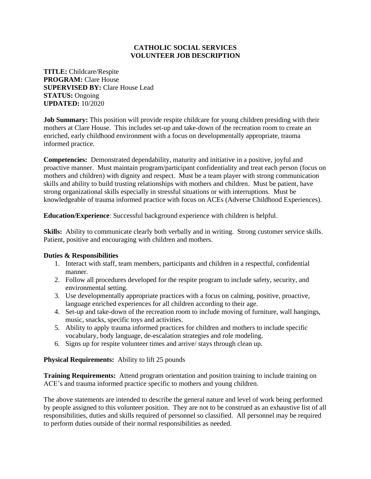## **CATHOLIC SOCIAL SERVICES VOLUNTEER JOB DESCRIPTION**

**TITLE:** Childcare/Respite **PROGRAM:** Clare House **SUPERVISED BY:** Clare House Lead **STATUS:** Ongoing **UPDATED:** 10/2020

**Job Summary:** This position will provide respite childcare for young children presiding with their mothers at Clare House. This includes set-up and take-down of the recreation room to create an enriched, early childhood environment with a focus on developmentally appropriate, trauma informed practice.

**Competencies:** Demonstrated dependability, maturity and initiative in a positive, joyful and proactive manner. Must maintain program/participant confidentiality and treat each person (focus on mothers and children) with dignity and respect. Must be a team player with strong communication skills and ability to build trusting relationships with mothers and children. Must be patient, have strong organizational skills especially in stressful situations or with interruptions. Must be knowledgeable of trauma informed practice with focus on ACEs (Adverse Childhood Experiences).

**Education/Experience**: Successful background experience with children is helpful.

**Skills:** Ability to communicate clearly both verbally and in writing. Strong customer service skills. Patient, positive and encouraging with children and mothers.

## **Duties & Responsibilities**

- 1. Interact with staff, team members, participants and children in a respectful, confidential manner.
- 2. Follow all procedures developed for the respite program to include safety, security, and environmental setting.
- 3. Use developmentally appropriate practices with a focus on calming, positive, proactive, language enriched experiences for all children according to their age.
- 4. Set-up and take-down of the recreation room to include moving of furniture, wall hangings, music, snacks, specific toys and activities.
- 5. Ability to apply trauma informed practices for children and mothers to include specific vocabulary, body language, de-escalation strategies and role modeling.
- 6. Signs up for respite volunteer times and arrive/ stays through clean up.

## **Physical Requirements:** Ability to lift 25 pounds

**Training Requirements:** Attend program orientation and position training to include training on ACE's and trauma informed practice specific to mothers and young children.

The above statements are intended to describe the general nature and level of work being performed by people assigned to this volunteer position. They are not to be construed as an exhaustive list of all responsibilities, duties and skills required of personnel so classified. All personnel may be required to perform duties outside of their normal responsibilities as needed.